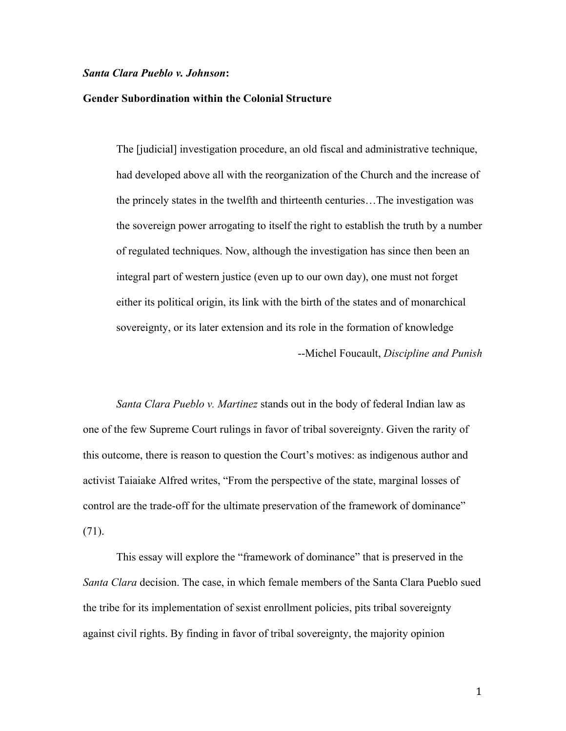## *Santa Clara Pueblo v. Johnson***:**

## **Gender Subordination within the Colonial Structure**

The [judicial] investigation procedure, an old fiscal and administrative technique, had developed above all with the reorganization of the Church and the increase of the princely states in the twelfth and thirteenth centuries…The investigation was the sovereign power arrogating to itself the right to establish the truth by a number of regulated techniques. Now, although the investigation has since then been an integral part of western justice (even up to our own day), one must not forget either its political origin, its link with the birth of the states and of monarchical sovereignty, or its later extension and its role in the formation of knowledge --Michel Foucault, *Discipline and Punish*

*Santa Clara Pueblo v. Martinez* stands out in the body of federal Indian law as one of the few Supreme Court rulings in favor of tribal sovereignty. Given the rarity of this outcome, there is reason to question the Court's motives: as indigenous author and activist Taiaiake Alfred writes, "From the perspective of the state, marginal losses of control are the trade-off for the ultimate preservation of the framework of dominance" (71).

This essay will explore the "framework of dominance" that is preserved in the *Santa Clara* decision. The case, in which female members of the Santa Clara Pueblo sued the tribe for its implementation of sexist enrollment policies, pits tribal sovereignty against civil rights. By finding in favor of tribal sovereignty, the majority opinion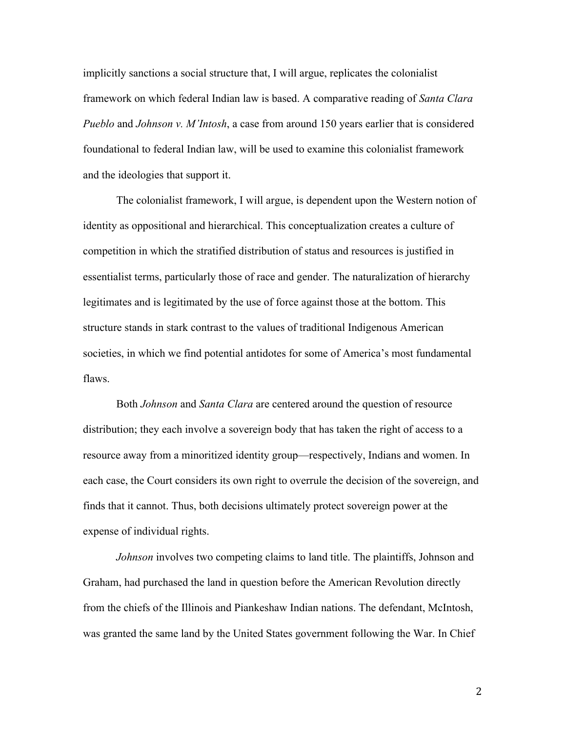implicitly sanctions a social structure that, I will argue, replicates the colonialist framework on which federal Indian law is based. A comparative reading of *Santa Clara Pueblo* and *Johnson v. M'Intosh*, a case from around 150 years earlier that is considered foundational to federal Indian law, will be used to examine this colonialist framework and the ideologies that support it.

The colonialist framework, I will argue, is dependent upon the Western notion of identity as oppositional and hierarchical. This conceptualization creates a culture of competition in which the stratified distribution of status and resources is justified in essentialist terms, particularly those of race and gender. The naturalization of hierarchy legitimates and is legitimated by the use of force against those at the bottom. This structure stands in stark contrast to the values of traditional Indigenous American societies, in which we find potential antidotes for some of America's most fundamental flaws.

Both *Johnson* and *Santa Clara* are centered around the question of resource distribution; they each involve a sovereign body that has taken the right of access to a resource away from a minoritized identity group—respectively, Indians and women. In each case, the Court considers its own right to overrule the decision of the sovereign, and finds that it cannot. Thus, both decisions ultimately protect sovereign power at the expense of individual rights.

*Johnson* involves two competing claims to land title. The plaintiffs, Johnson and Graham, had purchased the land in question before the American Revolution directly from the chiefs of the Illinois and Piankeshaw Indian nations. The defendant, McIntosh, was granted the same land by the United States government following the War. In Chief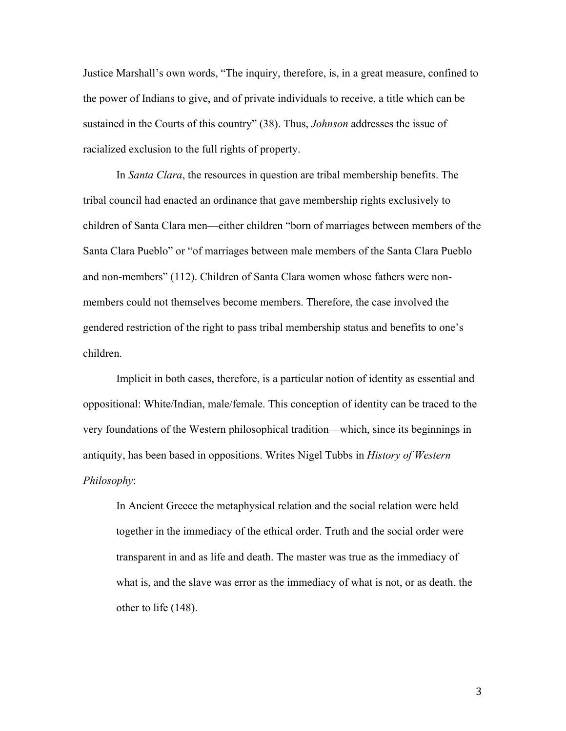Justice Marshall's own words, "The inquiry, therefore, is, in a great measure, confined to the power of Indians to give, and of private individuals to receive, a title which can be sustained in the Courts of this country" (38). Thus, *Johnson* addresses the issue of racialized exclusion to the full rights of property.

In *Santa Clara*, the resources in question are tribal membership benefits. The tribal council had enacted an ordinance that gave membership rights exclusively to children of Santa Clara men—either children "born of marriages between members of the Santa Clara Pueblo" or "of marriages between male members of the Santa Clara Pueblo and non-members" (112). Children of Santa Clara women whose fathers were nonmembers could not themselves become members. Therefore, the case involved the gendered restriction of the right to pass tribal membership status and benefits to one's children.

Implicit in both cases, therefore, is a particular notion of identity as essential and oppositional: White/Indian, male/female. This conception of identity can be traced to the very foundations of the Western philosophical tradition—which, since its beginnings in antiquity, has been based in oppositions. Writes Nigel Tubbs in *History of Western Philosophy*:

In Ancient Greece the metaphysical relation and the social relation were held together in the immediacy of the ethical order. Truth and the social order were transparent in and as life and death. The master was true as the immediacy of what is, and the slave was error as the immediacy of what is not, or as death, the other to life (148).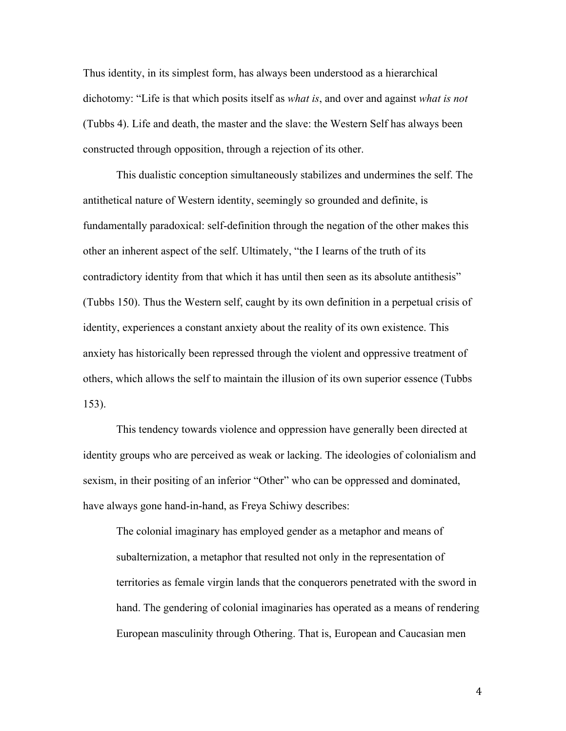Thus identity, in its simplest form, has always been understood as a hierarchical dichotomy: "Life is that which posits itself as *what is*, and over and against *what is not* (Tubbs 4). Life and death, the master and the slave: the Western Self has always been constructed through opposition, through a rejection of its other.

This dualistic conception simultaneously stabilizes and undermines the self. The antithetical nature of Western identity, seemingly so grounded and definite, is fundamentally paradoxical: self-definition through the negation of the other makes this other an inherent aspect of the self. Ultimately, "the I learns of the truth of its contradictory identity from that which it has until then seen as its absolute antithesis" (Tubbs 150). Thus the Western self, caught by its own definition in a perpetual crisis of identity, experiences a constant anxiety about the reality of its own existence. This anxiety has historically been repressed through the violent and oppressive treatment of others, which allows the self to maintain the illusion of its own superior essence (Tubbs 153).

This tendency towards violence and oppression have generally been directed at identity groups who are perceived as weak or lacking. The ideologies of colonialism and sexism, in their positing of an inferior "Other" who can be oppressed and dominated, have always gone hand-in-hand, as Freya Schiwy describes:

The colonial imaginary has employed gender as a metaphor and means of subalternization, a metaphor that resulted not only in the representation of territories as female virgin lands that the conquerors penetrated with the sword in hand. The gendering of colonial imaginaries has operated as a means of rendering European masculinity through Othering. That is, European and Caucasian men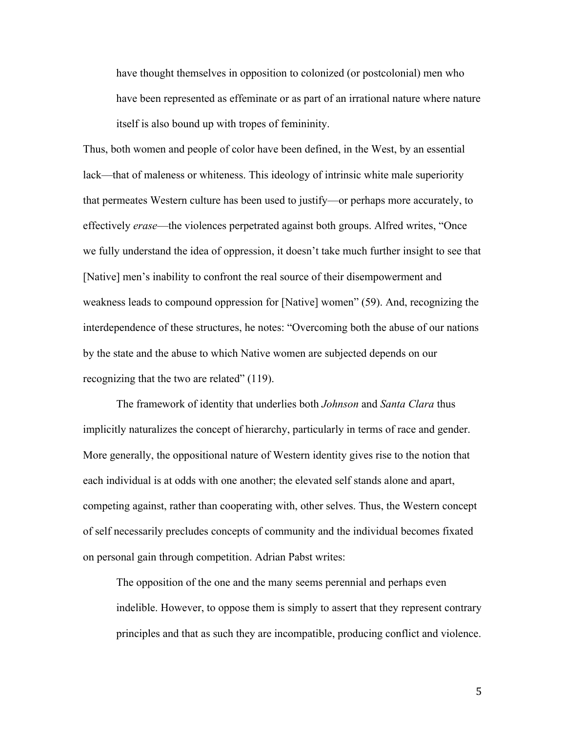have thought themselves in opposition to colonized (or postcolonial) men who have been represented as effeminate or as part of an irrational nature where nature itself is also bound up with tropes of femininity.

Thus, both women and people of color have been defined, in the West, by an essential lack—that of maleness or whiteness. This ideology of intrinsic white male superiority that permeates Western culture has been used to justify—or perhaps more accurately, to effectively *erase*—the violences perpetrated against both groups. Alfred writes, "Once we fully understand the idea of oppression, it doesn't take much further insight to see that [Native] men's inability to confront the real source of their disempowerment and weakness leads to compound oppression for [Native] women" (59). And, recognizing the interdependence of these structures, he notes: "Overcoming both the abuse of our nations by the state and the abuse to which Native women are subjected depends on our recognizing that the two are related" (119).

The framework of identity that underlies both *Johnson* and *Santa Clara* thus implicitly naturalizes the concept of hierarchy, particularly in terms of race and gender. More generally, the oppositional nature of Western identity gives rise to the notion that each individual is at odds with one another; the elevated self stands alone and apart, competing against, rather than cooperating with, other selves. Thus, the Western concept of self necessarily precludes concepts of community and the individual becomes fixated on personal gain through competition. Adrian Pabst writes:

The opposition of the one and the many seems perennial and perhaps even indelible. However, to oppose them is simply to assert that they represent contrary principles and that as such they are incompatible, producing conflict and violence.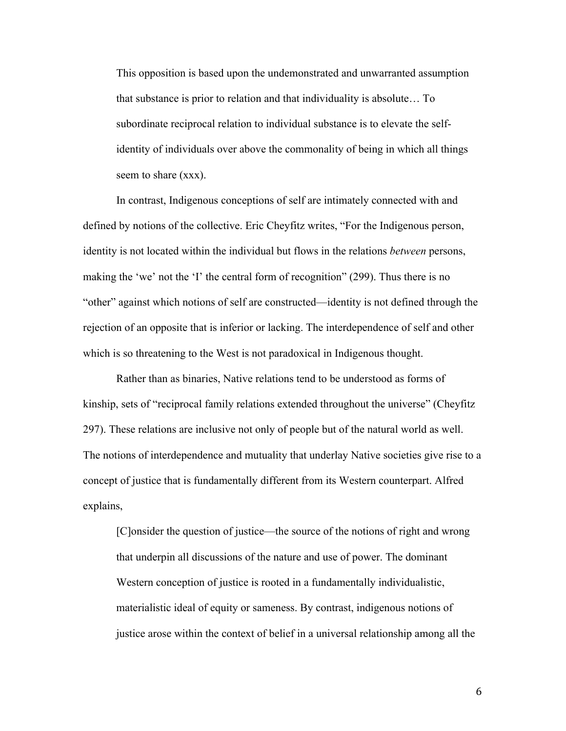This opposition is based upon the undemonstrated and unwarranted assumption that substance is prior to relation and that individuality is absolute… To subordinate reciprocal relation to individual substance is to elevate the selfidentity of individuals over above the commonality of being in which all things seem to share (xxx).

In contrast, Indigenous conceptions of self are intimately connected with and defined by notions of the collective. Eric Cheyfitz writes, "For the Indigenous person, identity is not located within the individual but flows in the relations *between* persons, making the 'we' not the 'I' the central form of recognition" (299). Thus there is no "other" against which notions of self are constructed—identity is not defined through the rejection of an opposite that is inferior or lacking. The interdependence of self and other which is so threatening to the West is not paradoxical in Indigenous thought.

Rather than as binaries, Native relations tend to be understood as forms of kinship, sets of "reciprocal family relations extended throughout the universe" (Cheyfitz 297). These relations are inclusive not only of people but of the natural world as well. The notions of interdependence and mutuality that underlay Native societies give rise to a concept of justice that is fundamentally different from its Western counterpart. Alfred explains,

[C]onsider the question of justice—the source of the notions of right and wrong that underpin all discussions of the nature and use of power. The dominant Western conception of justice is rooted in a fundamentally individualistic, materialistic ideal of equity or sameness. By contrast, indigenous notions of justice arose within the context of belief in a universal relationship among all the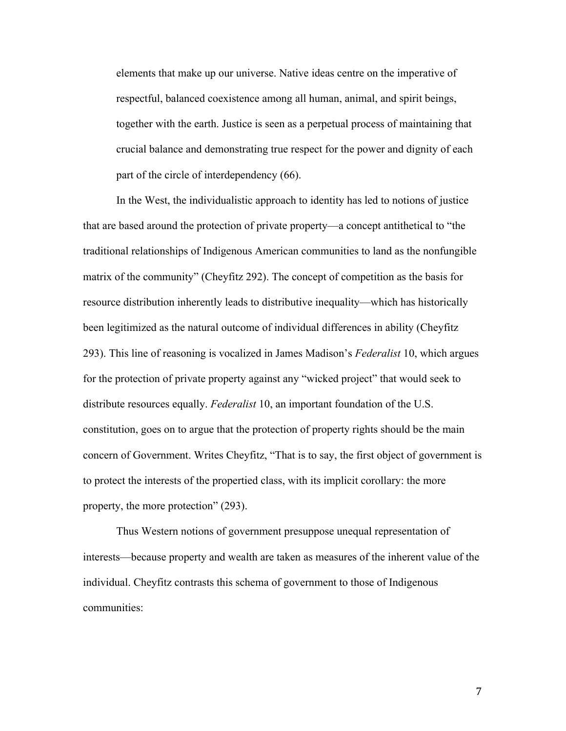elements that make up our universe. Native ideas centre on the imperative of respectful, balanced coexistence among all human, animal, and spirit beings, together with the earth. Justice is seen as a perpetual process of maintaining that crucial balance and demonstrating true respect for the power and dignity of each part of the circle of interdependency (66).

In the West, the individualistic approach to identity has led to notions of justice that are based around the protection of private property—a concept antithetical to "the traditional relationships of Indigenous American communities to land as the nonfungible matrix of the community" (Cheyfitz 292). The concept of competition as the basis for resource distribution inherently leads to distributive inequality—which has historically been legitimized as the natural outcome of individual differences in ability (Cheyfitz 293). This line of reasoning is vocalized in James Madison's *Federalist* 10, which argues for the protection of private property against any "wicked project" that would seek to distribute resources equally. *Federalist* 10, an important foundation of the U.S. constitution, goes on to argue that the protection of property rights should be the main concern of Government. Writes Cheyfitz, "That is to say, the first object of government is to protect the interests of the propertied class, with its implicit corollary: the more property, the more protection" (293).

Thus Western notions of government presuppose unequal representation of interests—because property and wealth are taken as measures of the inherent value of the individual. Cheyfitz contrasts this schema of government to those of Indigenous communities: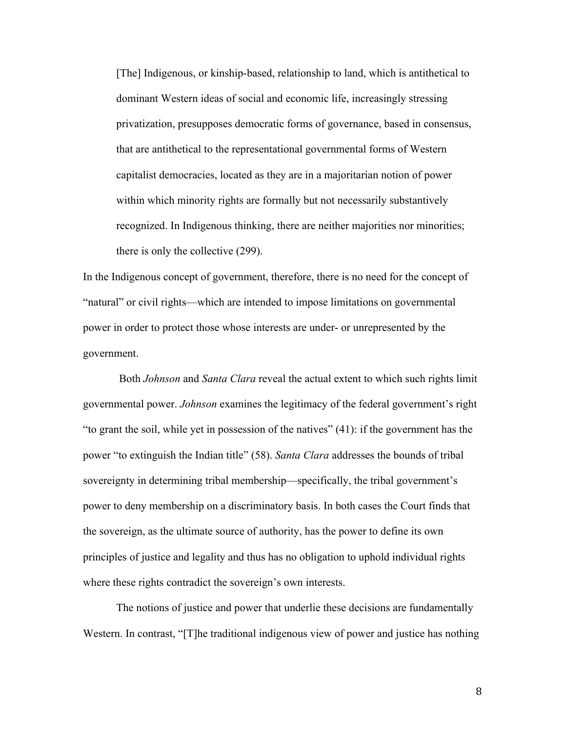[The] Indigenous, or kinship-based, relationship to land, which is antithetical to dominant Western ideas of social and economic life, increasingly stressing privatization, presupposes democratic forms of governance, based in consensus, that are antithetical to the representational governmental forms of Western capitalist democracies, located as they are in a majoritarian notion of power within which minority rights are formally but not necessarily substantively recognized. In Indigenous thinking, there are neither majorities nor minorities; there is only the collective (299).

In the Indigenous concept of government, therefore, there is no need for the concept of "natural" or civil rights—which are intended to impose limitations on governmental power in order to protect those whose interests are under- or unrepresented by the government.

Both *Johnson* and *Santa Clara* reveal the actual extent to which such rights limit governmental power. *Johnson* examines the legitimacy of the federal government's right "to grant the soil, while yet in possession of the natives" (41): if the government has the power "to extinguish the Indian title" (58). *Santa Clara* addresses the bounds of tribal sovereignty in determining tribal membership—specifically, the tribal government's power to deny membership on a discriminatory basis. In both cases the Court finds that the sovereign, as the ultimate source of authority, has the power to define its own principles of justice and legality and thus has no obligation to uphold individual rights where these rights contradict the sovereign's own interests.

The notions of justice and power that underlie these decisions are fundamentally Western. In contrast, "[T]he traditional indigenous view of power and justice has nothing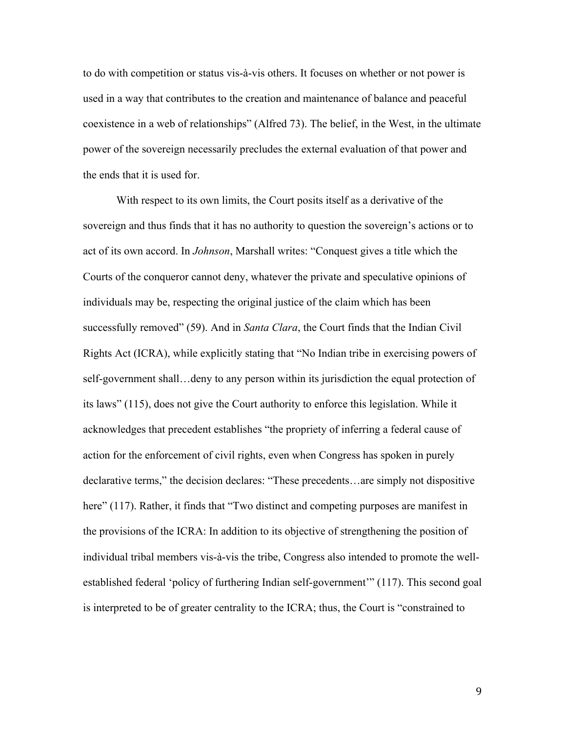to do with competition or status vis-à-vis others. It focuses on whether or not power is used in a way that contributes to the creation and maintenance of balance and peaceful coexistence in a web of relationships" (Alfred 73). The belief, in the West, in the ultimate power of the sovereign necessarily precludes the external evaluation of that power and the ends that it is used for.

With respect to its own limits, the Court posits itself as a derivative of the sovereign and thus finds that it has no authority to question the sovereign's actions or to act of its own accord. In *Johnson*, Marshall writes: "Conquest gives a title which the Courts of the conqueror cannot deny, whatever the private and speculative opinions of individuals may be, respecting the original justice of the claim which has been successfully removed" (59). And in *Santa Clara*, the Court finds that the Indian Civil Rights Act (ICRA), while explicitly stating that "No Indian tribe in exercising powers of self-government shall…deny to any person within its jurisdiction the equal protection of its laws" (115), does not give the Court authority to enforce this legislation. While it acknowledges that precedent establishes "the propriety of inferring a federal cause of action for the enforcement of civil rights, even when Congress has spoken in purely declarative terms," the decision declares: "These precedents…are simply not dispositive here" (117). Rather, it finds that "Two distinct and competing purposes are manifest in the provisions of the ICRA: In addition to its objective of strengthening the position of individual tribal members vis-à-vis the tribe, Congress also intended to promote the wellestablished federal 'policy of furthering Indian self-government'" (117). This second goal is interpreted to be of greater centrality to the ICRA; thus, the Court is "constrained to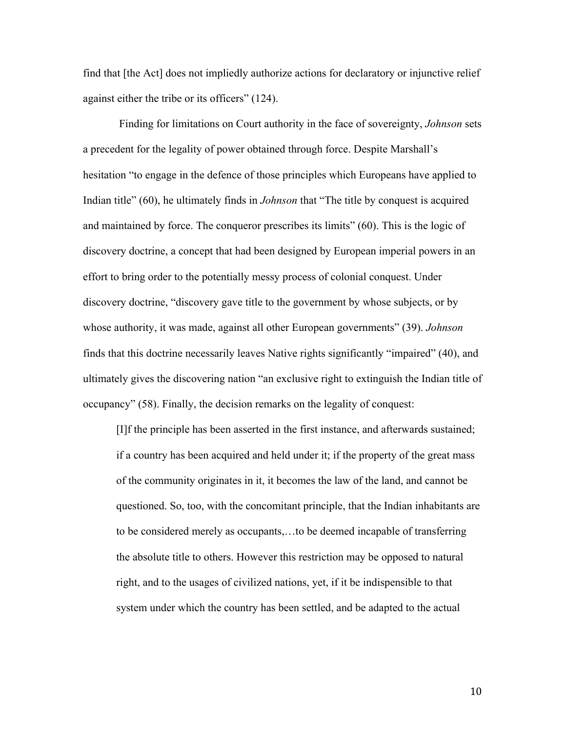find that [the Act] does not impliedly authorize actions for declaratory or injunctive relief against either the tribe or its officers" (124).

Finding for limitations on Court authority in the face of sovereignty, *Johnson* sets a precedent for the legality of power obtained through force. Despite Marshall's hesitation "to engage in the defence of those principles which Europeans have applied to Indian title" (60), he ultimately finds in *Johnson* that "The title by conquest is acquired and maintained by force. The conqueror prescribes its limits" (60). This is the logic of discovery doctrine, a concept that had been designed by European imperial powers in an effort to bring order to the potentially messy process of colonial conquest. Under discovery doctrine, "discovery gave title to the government by whose subjects, or by whose authority, it was made, against all other European governments" (39). *Johnson* finds that this doctrine necessarily leaves Native rights significantly "impaired" (40), and ultimately gives the discovering nation "an exclusive right to extinguish the Indian title of occupancy" (58). Finally, the decision remarks on the legality of conquest:

[I]f the principle has been asserted in the first instance, and afterwards sustained; if a country has been acquired and held under it; if the property of the great mass of the community originates in it, it becomes the law of the land, and cannot be questioned. So, too, with the concomitant principle, that the Indian inhabitants are to be considered merely as occupants,…to be deemed incapable of transferring the absolute title to others. However this restriction may be opposed to natural right, and to the usages of civilized nations, yet, if it be indispensible to that system under which the country has been settled, and be adapted to the actual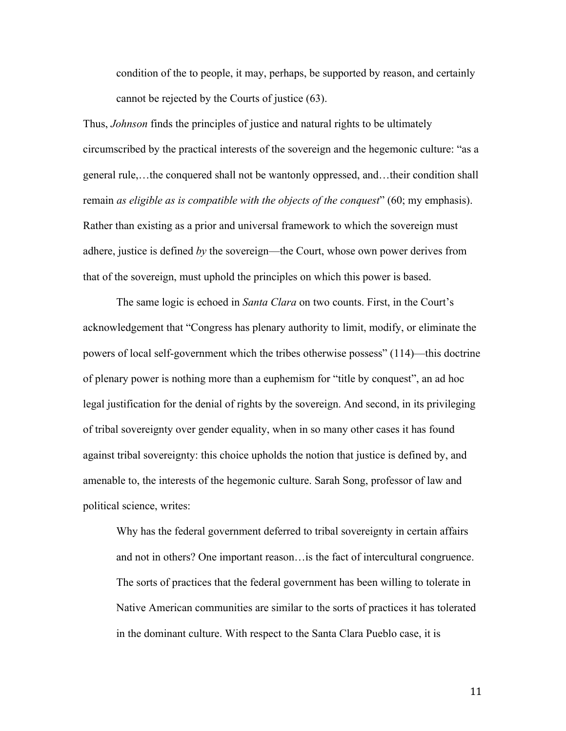condition of the to people, it may, perhaps, be supported by reason, and certainly cannot be rejected by the Courts of justice (63).

Thus, *Johnson* finds the principles of justice and natural rights to be ultimately circumscribed by the practical interests of the sovereign and the hegemonic culture: "as a general rule,…the conquered shall not be wantonly oppressed, and…their condition shall remain *as eligible as is compatible with the objects of the conquest*" (60; my emphasis). Rather than existing as a prior and universal framework to which the sovereign must adhere, justice is defined *by* the sovereign—the Court, whose own power derives from that of the sovereign, must uphold the principles on which this power is based.

The same logic is echoed in *Santa Clara* on two counts. First, in the Court's acknowledgement that "Congress has plenary authority to limit, modify, or eliminate the powers of local self-government which the tribes otherwise possess" (114)—this doctrine of plenary power is nothing more than a euphemism for "title by conquest", an ad hoc legal justification for the denial of rights by the sovereign. And second, in its privileging of tribal sovereignty over gender equality, when in so many other cases it has found against tribal sovereignty: this choice upholds the notion that justice is defined by, and amenable to, the interests of the hegemonic culture. Sarah Song, professor of law and political science, writes:

Why has the federal government deferred to tribal sovereignty in certain affairs and not in others? One important reason…is the fact of intercultural congruence. The sorts of practices that the federal government has been willing to tolerate in Native American communities are similar to the sorts of practices it has tolerated in the dominant culture. With respect to the Santa Clara Pueblo case, it is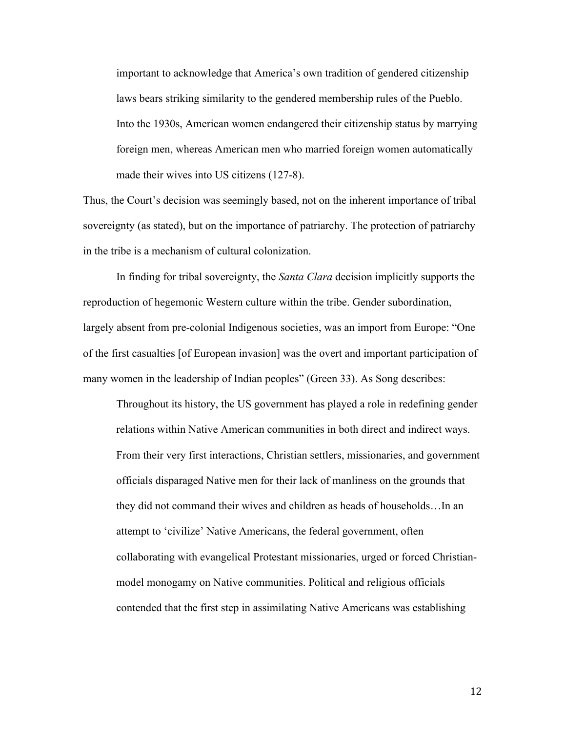important to acknowledge that America's own tradition of gendered citizenship laws bears striking similarity to the gendered membership rules of the Pueblo. Into the 1930s, American women endangered their citizenship status by marrying foreign men, whereas American men who married foreign women automatically made their wives into US citizens (127-8).

Thus, the Court's decision was seemingly based, not on the inherent importance of tribal sovereignty (as stated), but on the importance of patriarchy. The protection of patriarchy in the tribe is a mechanism of cultural colonization.

In finding for tribal sovereignty, the *Santa Clara* decision implicitly supports the reproduction of hegemonic Western culture within the tribe. Gender subordination, largely absent from pre-colonial Indigenous societies, was an import from Europe: "One of the first casualties [of European invasion] was the overt and important participation of many women in the leadership of Indian peoples" (Green 33). As Song describes:

Throughout its history, the US government has played a role in redefining gender relations within Native American communities in both direct and indirect ways. From their very first interactions, Christian settlers, missionaries, and government officials disparaged Native men for their lack of manliness on the grounds that they did not command their wives and children as heads of households…In an attempt to 'civilize' Native Americans, the federal government, often collaborating with evangelical Protestant missionaries, urged or forced Christianmodel monogamy on Native communities. Political and religious officials contended that the first step in assimilating Native Americans was establishing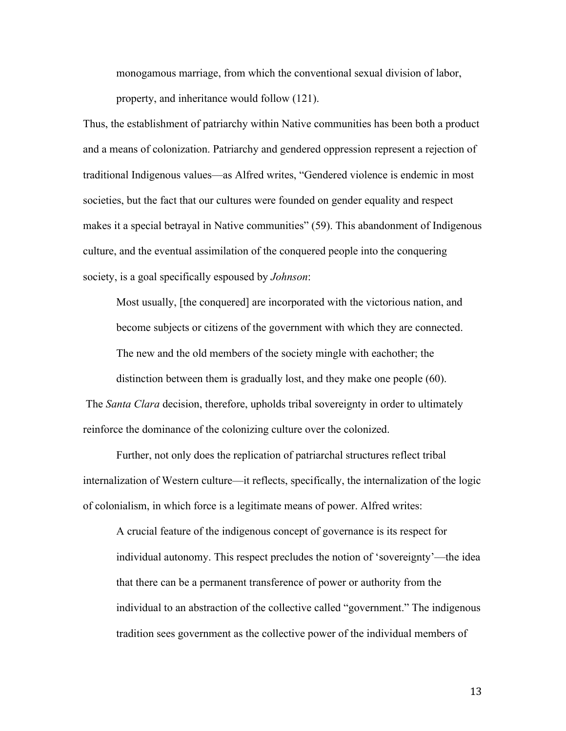monogamous marriage, from which the conventional sexual division of labor, property, and inheritance would follow (121).

Thus, the establishment of patriarchy within Native communities has been both a product and a means of colonization. Patriarchy and gendered oppression represent a rejection of traditional Indigenous values—as Alfred writes, "Gendered violence is endemic in most societies, but the fact that our cultures were founded on gender equality and respect makes it a special betrayal in Native communities" (59). This abandonment of Indigenous culture, and the eventual assimilation of the conquered people into the conquering society, is a goal specifically espoused by *Johnson*:

Most usually, [the conquered] are incorporated with the victorious nation, and become subjects or citizens of the government with which they are connected. The new and the old members of the society mingle with eachother; the

distinction between them is gradually lost, and they make one people (60).

The *Santa Clara* decision, therefore, upholds tribal sovereignty in order to ultimately reinforce the dominance of the colonizing culture over the colonized.

Further, not only does the replication of patriarchal structures reflect tribal internalization of Western culture—it reflects, specifically, the internalization of the logic of colonialism, in which force is a legitimate means of power. Alfred writes:

A crucial feature of the indigenous concept of governance is its respect for individual autonomy. This respect precludes the notion of 'sovereignty'—the idea that there can be a permanent transference of power or authority from the individual to an abstraction of the collective called "government." The indigenous tradition sees government as the collective power of the individual members of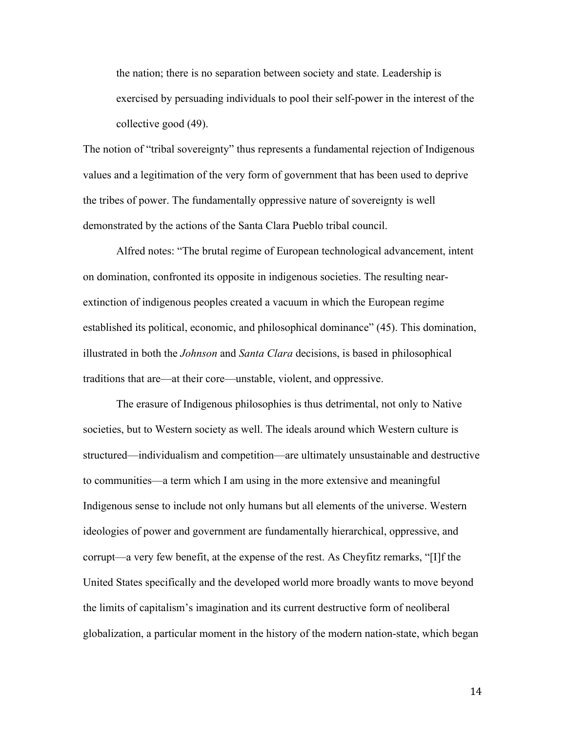the nation; there is no separation between society and state. Leadership is exercised by persuading individuals to pool their self-power in the interest of the collective good (49).

The notion of "tribal sovereignty" thus represents a fundamental rejection of Indigenous values and a legitimation of the very form of government that has been used to deprive the tribes of power. The fundamentally oppressive nature of sovereignty is well demonstrated by the actions of the Santa Clara Pueblo tribal council.

Alfred notes: "The brutal regime of European technological advancement, intent on domination, confronted its opposite in indigenous societies. The resulting nearextinction of indigenous peoples created a vacuum in which the European regime established its political, economic, and philosophical dominance" (45). This domination, illustrated in both the *Johnson* and *Santa Clara* decisions, is based in philosophical traditions that are—at their core—unstable, violent, and oppressive.

The erasure of Indigenous philosophies is thus detrimental, not only to Native societies, but to Western society as well. The ideals around which Western culture is structured—individualism and competition—are ultimately unsustainable and destructive to communities—a term which I am using in the more extensive and meaningful Indigenous sense to include not only humans but all elements of the universe. Western ideologies of power and government are fundamentally hierarchical, oppressive, and corrupt—a very few benefit, at the expense of the rest. As Cheyfitz remarks, "[I]f the United States specifically and the developed world more broadly wants to move beyond the limits of capitalism's imagination and its current destructive form of neoliberal globalization, a particular moment in the history of the modern nation-state, which began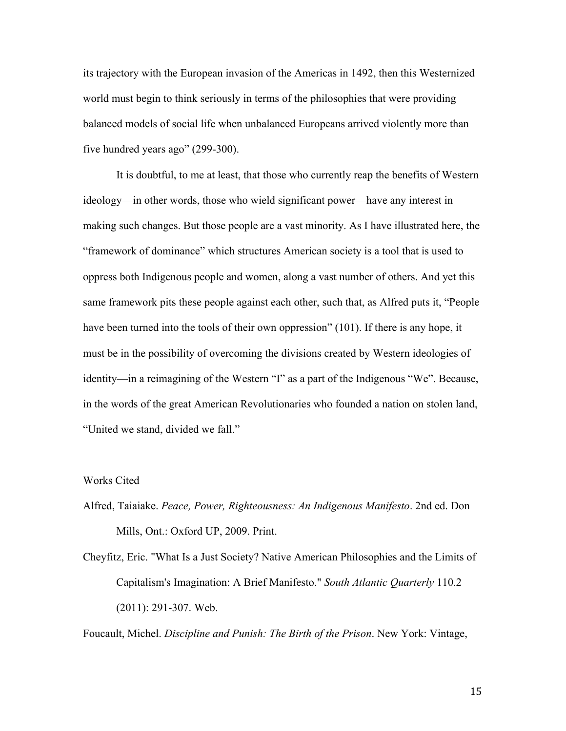its trajectory with the European invasion of the Americas in 1492, then this Westernized world must begin to think seriously in terms of the philosophies that were providing balanced models of social life when unbalanced Europeans arrived violently more than five hundred years ago" (299-300).

It is doubtful, to me at least, that those who currently reap the benefits of Western ideology—in other words, those who wield significant power—have any interest in making such changes. But those people are a vast minority. As I have illustrated here, the "framework of dominance" which structures American society is a tool that is used to oppress both Indigenous people and women, along a vast number of others. And yet this same framework pits these people against each other, such that, as Alfred puts it, "People have been turned into the tools of their own oppression" (101). If there is any hope, it must be in the possibility of overcoming the divisions created by Western ideologies of identity—in a reimagining of the Western "I" as a part of the Indigenous "We". Because, in the words of the great American Revolutionaries who founded a nation on stolen land, "United we stand, divided we fall."

## Works Cited

- Alfred, Taiaiake. *Peace, Power, Righteousness: An Indigenous Manifesto*. 2nd ed. Don Mills, Ont.: Oxford UP, 2009. Print.
- Cheyfitz, Eric. "What Is a Just Society? Native American Philosophies and the Limits of Capitalism's Imagination: A Brief Manifesto." *South Atlantic Quarterly* 110.2 (2011): 291-307. Web.

Foucault, Michel. *Discipline and Punish: The Birth of the Prison*. New York: Vintage,